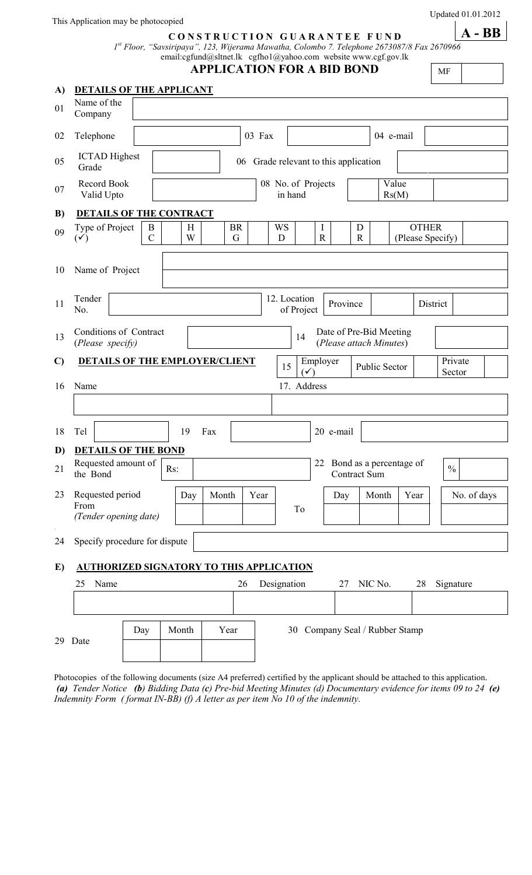This Application may be photocopied

## **C O N S T R U C T I O N G U A R A N T E E F U N D**

 *1 st Floor, "Savsiripaya", 123, Wijerama Mawatha, Colombo 7. Telephone 2673087/8 Fax 2670966* email:cgfund@sltnet.lk cgfho1@yahoo.com website www.cgf.gov.lk

**APPLICATION FOR A BID BOND** 

MF

| A) | <b>DETAILS OF THE APPLICANT</b>                   |                                       |       |        |                |                               |                |                            |                  |                                                    |                  |               |      |                                  |                   |  |
|----|---------------------------------------------------|---------------------------------------|-------|--------|----------------|-------------------------------|----------------|----------------------------|------------------|----------------------------------------------------|------------------|---------------|------|----------------------------------|-------------------|--|
| 01 | Name of the<br>Company                            |                                       |       |        |                |                               |                |                            |                  |                                                    |                  |               |      |                                  |                   |  |
| 02 | Telephone                                         |                                       |       |        |                |                               | 03 Fax         |                            |                  |                                                    |                  | 04 e-mail     |      |                                  |                   |  |
| 05 | <b>ICTAD</b> Highest<br>Grade                     | 06 Grade relevant to this application |       |        |                |                               |                |                            |                  |                                                    |                  |               |      |                                  |                   |  |
| 07 | Record Book<br>Valid Upto                         |                                       |       |        |                | 08 No. of Projects<br>in hand |                |                            |                  | Value<br>Rs(M)                                     |                  |               |      |                                  |                   |  |
| B) | <b>DETAILS OF THE CONTRACT</b>                    |                                       |       |        |                |                               |                |                            |                  |                                                    |                  |               |      |                                  |                   |  |
| 09 | Type of Project<br>$(\checkmark)$                 | B<br>$\mathcal{C}$                    |       | Η<br>W | <b>BR</b><br>G |                               | <b>WS</b><br>D |                            | I<br>$\mathbf R$ |                                                    | D<br>$\mathbf R$ |               |      | <b>OTHER</b><br>(Please Specify) |                   |  |
| 10 | Name of Project                                   |                                       |       |        |                |                               |                |                            |                  |                                                    |                  |               |      |                                  |                   |  |
| 11 | Tender<br>No.                                     |                                       |       |        |                |                               |                | 12. Location<br>of Project |                  | Province                                           |                  |               |      | District                         |                   |  |
| 13 | Conditions of Contract<br>(Please specify)        |                                       |       |        |                |                               |                | 14                         |                  | Date of Pre-Bid Meeting<br>(Please attach Minutes) |                  |               |      |                                  |                   |  |
| C) | <b>DETAILS OF THE EMPLOYER/CLIENT</b>             |                                       |       |        |                |                               |                | 15<br>(✓                   |                  | Employer                                           |                  | Public Sector |      |                                  | Private<br>Sector |  |
| 16 | Name                                              |                                       |       |        |                |                               |                | 17. Address                |                  |                                                    |                  |               |      |                                  |                   |  |
|    |                                                   |                                       |       |        |                |                               |                |                            |                  |                                                    |                  |               |      |                                  |                   |  |
| 18 | Tel                                               |                                       | 19    |        | Fax            |                               |                |                            |                  | 20 e-mail                                          |                  |               |      |                                  |                   |  |
| D) | <b>DETAILS OF THE BOND</b>                        |                                       |       |        |                |                               |                |                            |                  |                                                    |                  |               |      |                                  |                   |  |
| 21 | Requested amount of<br>the Bond                   |                                       | Rs:   |        |                |                               |                |                            |                  | 22 Bond as a percentage of<br><b>Contract Sum</b>  |                  |               |      |                                  | $\frac{0}{0}$     |  |
| 23 | Requested period<br>From<br>(Tender opening date) |                                       |       | Day    | Month          |                               | Year           | To                         |                  | Day                                                |                  | Month         | Year |                                  | No. of days       |  |
| 24 | Specify procedure for dispute                     |                                       |       |        |                |                               |                |                            |                  |                                                    |                  |               |      |                                  |                   |  |
| E) | <b>AUTHORIZED SIGNATORY TO THIS APPLICATION</b>   |                                       |       |        |                |                               |                |                            |                  |                                                    |                  |               |      |                                  |                   |  |
|    | 25<br>Name                                        |                                       |       |        |                | 26                            | Designation    |                            |                  | 27                                                 |                  | NIC No.       |      | 28                               | Signature         |  |
|    |                                                   |                                       |       |        |                |                               |                |                            |                  |                                                    |                  |               |      |                                  |                   |  |
|    | 29 Date                                           | Day                                   | Month |        | Year           |                               |                |                            |                  | 30 Company Seal / Rubber Stamp                     |                  |               |      |                                  |                   |  |

Photocopies of the following documents (size A4 preferred) certified by the applicant should be attached to this application. *(a) Tender Notice (b) Bidding Data (c) Pre-bid Meeting Minutes (d) Documentary evidence for items 09 to 24 (e) Indemnity Form ( format IN-BB) (f) A letter as per item No 10 of the indemnity.* 

Updated 01.01.2012

**A - BB**